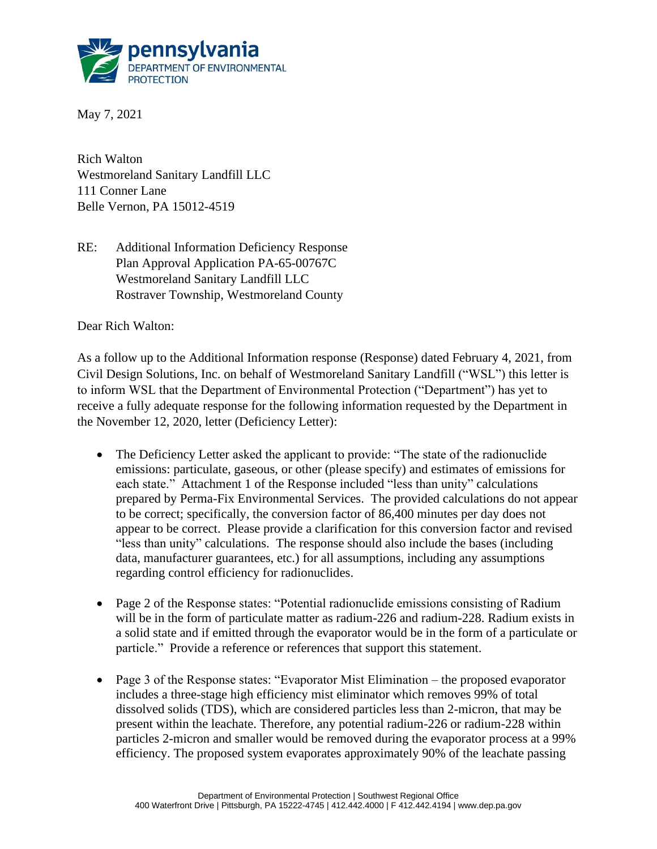

May 7, 2021

Rich Walton Westmoreland Sanitary Landfill LLC 111 Conner Lane Belle Vernon, PA 15012-4519

RE: Additional Information Deficiency Response Plan Approval Application PA-65-00767C Westmoreland Sanitary Landfill LLC Rostraver Township, Westmoreland County

Dear Rich Walton:

As a follow up to the Additional Information response (Response) dated February 4, 2021, from Civil Design Solutions, Inc. on behalf of Westmoreland Sanitary Landfill ("WSL") this letter is to inform WSL that the Department of Environmental Protection ("Department") has yet to receive a fully adequate response for the following information requested by the Department in the November 12, 2020, letter (Deficiency Letter):

- The Deficiency Letter asked the applicant to provide: "The state of the radionuclide emissions: particulate, gaseous, or other (please specify) and estimates of emissions for each state." Attachment 1 of the Response included "less than unity" calculations prepared by Perma-Fix Environmental Services. The provided calculations do not appear to be correct; specifically, the conversion factor of 86,400 minutes per day does not appear to be correct. Please provide a clarification for this conversion factor and revised "less than unity" calculations. The response should also include the bases (including data, manufacturer guarantees, etc.) for all assumptions, including any assumptions regarding control efficiency for radionuclides.
- Page 2 of the Response states: "Potential radionuclide emissions consisting of Radium will be in the form of particulate matter as radium-226 and radium-228. Radium exists in a solid state and if emitted through the evaporator would be in the form of a particulate or particle." Provide a reference or references that support this statement.
- Page 3 of the Response states: "Evaporator Mist Elimination the proposed evaporator includes a three-stage high efficiency mist eliminator which removes 99% of total dissolved solids (TDS), which are considered particles less than 2-micron, that may be present within the leachate. Therefore, any potential radium-226 or radium-228 within particles 2-micron and smaller would be removed during the evaporator process at a 99% efficiency. The proposed system evaporates approximately 90% of the leachate passing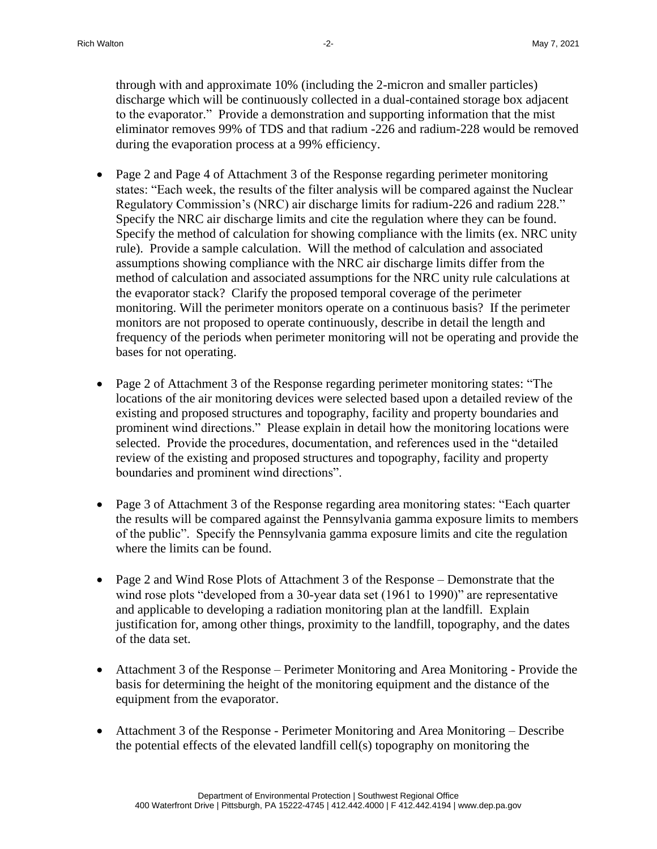through with and approximate 10% (including the 2-micron and smaller particles) discharge which will be continuously collected in a dual-contained storage box adjacent to the evaporator." Provide a demonstration and supporting information that the mist eliminator removes 99% of TDS and that radium -226 and radium-228 would be removed during the evaporation process at a 99% efficiency.

- Page 2 and Page 4 of Attachment 3 of the Response regarding perimeter monitoring states: "Each week, the results of the filter analysis will be compared against the Nuclear Regulatory Commission's (NRC) air discharge limits for radium-226 and radium 228." Specify the NRC air discharge limits and cite the regulation where they can be found. Specify the method of calculation for showing compliance with the limits (ex. NRC unity rule). Provide a sample calculation. Will the method of calculation and associated assumptions showing compliance with the NRC air discharge limits differ from the method of calculation and associated assumptions for the NRC unity rule calculations at the evaporator stack? Clarify the proposed temporal coverage of the perimeter monitoring. Will the perimeter monitors operate on a continuous basis? If the perimeter monitors are not proposed to operate continuously, describe in detail the length and frequency of the periods when perimeter monitoring will not be operating and provide the bases for not operating.
- Page 2 of Attachment 3 of the Response regarding perimeter monitoring states: "The locations of the air monitoring devices were selected based upon a detailed review of the existing and proposed structures and topography, facility and property boundaries and prominent wind directions." Please explain in detail how the monitoring locations were selected. Provide the procedures, documentation, and references used in the "detailed review of the existing and proposed structures and topography, facility and property boundaries and prominent wind directions".
- Page 3 of Attachment 3 of the Response regarding area monitoring states: "Each quarter" the results will be compared against the Pennsylvania gamma exposure limits to members of the public". Specify the Pennsylvania gamma exposure limits and cite the regulation where the limits can be found.
- Page 2 and Wind Rose Plots of Attachment 3 of the Response Demonstrate that the wind rose plots "developed from a 30-year data set (1961 to 1990)" are representative and applicable to developing a radiation monitoring plan at the landfill. Explain justification for, among other things, proximity to the landfill, topography, and the dates of the data set.
- Attachment 3 of the Response Perimeter Monitoring and Area Monitoring Provide the basis for determining the height of the monitoring equipment and the distance of the equipment from the evaporator.
- Attachment 3 of the Response Perimeter Monitoring and Area Monitoring Describe the potential effects of the elevated landfill cell(s) topography on monitoring the